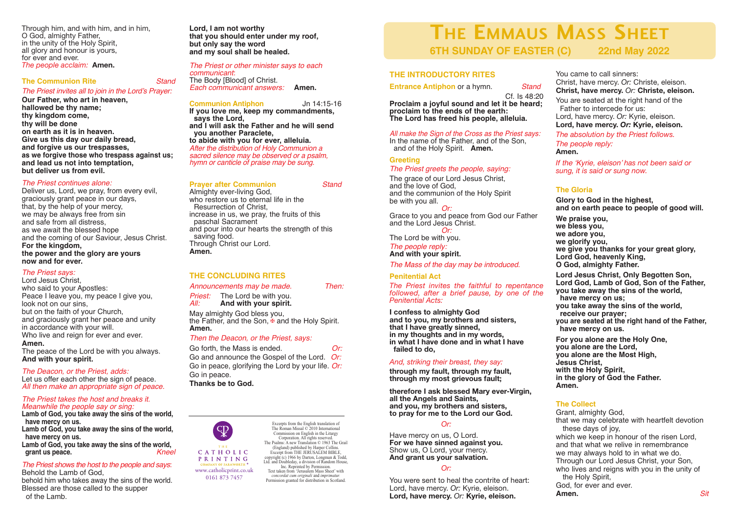Through him, and with him, and in him, O God, almighty Father, in the unity of the Holy Spirit, all glory and honour is yours, for ever and ever. *The people acclaim:* **Amen.**

#### **The Communion Rite** *Stand The Priest invites all to join in the Lord's Prayer:*

**Our Father, who art in heaven, hallowed be thy name; thy kingdom come, thy will be done on earth as it is in heaven. Give us this day our daily bread, and forgive us our trespasses, as we forgive those who trespass against us; and lead us not into temptation,**

# **but deliver us from evil.** *The Priest continues alone:*

Deliver us, Lord, we pray, from every evil, graciously grant peace in our days, that, by the help of your mercy, we may be always free from sin and safe from all distress, as we await the blessed hope and the coming of our Saviour, Jesus Christ. **For the kingdom, the power and the glory are yours now and for ever.**

# *The Priest says:*

Lord Jesus Christ, who said to your Apostles: Peace I leave you, my peace I give you, look not on our sins, but on the faith of your Church, and graciously grant her peace and unity in accordance with your will. Who live and reign for ever and ever. **Amen.**

The peace of the Lord be with you always. **And with your spirit.**

*The Deacon, or the Priest, adds:* Let us offer each other the sign of peace. *All then make an appropriate sign of peace.*

#### *The Priest takes the host and breaks it. Meanwhile the people say or sing:*

**Lamb of God, you take away the sins of the world, have mercy on us.**

**Lamb of God, you take away the sins of the world, have mercy on us.**

**Lamb of God, you take away the sins of the world, grant us** peace.

#### *The Priest shows the host to the people and says*: Behold the Lamb of God,

behold him who takes away the sins of the world. Blessed are those called to the supper of the Lamb.

**Lord, I am not worthy that you should enter under my roof, but only say the word and my soul shall be healed.**

#### *The Priest or other minister says to each communicant*:

The Body [Blood] of Christ. *Each communicant answers:* **Amen.**

#### **Communion Antiphon** Jn 14:15-16

**If you love me, keep my commandments, says the Lord, and I will ask the Father and he will send you another Paraclete, to abide with you for ever, alleluia.** *After the distribution of Holy Communion a sacred silence may be observed or <sup>a</sup> psalm, hymn or canticle of praise may be sung.*

#### **Prayer after Communion** *Stand*

Almighty ever-living God, who restore us to eternal life in the Resurrection of Christ, increase in us, we pray, the fruits of this paschal Sacrament and pour into our hearts the strength of this saving food. Through Christ our Lord. **Amen.**

# **THE CONCLUDING RITES**

*Announcements may be made. Then:*

**Priest:** The Lord be with you.<br>*All:* **And with your spirit.** 

*All:* **And with your spirit.**

May almighty God bless you, the Father, and the Son,  $\overline{\mathbf{F}}$  and the Holy Spirit. **Amen.**

#### *Then the Deacon, or the Priest, says:*

Go forth, the Mass is ended. *Or:* Go and announce the Gospel of the Lord. *Or:* Go in peace, glorifying the Lord by your life. *Or:* Go in peace. **Thanks be to God.**



www.catholicprint.co.uk 0161 873 7457

Excerpts from the English translation of The Roman Missal © 2010 International Commission on English in the Liturgy Corporation. All rights reserved. The Psalms: A new Translation © 1963 The Grail (England) published by Harper Collins. Excernt from THE JERUSALEM BIBLE copyright (c) 1966 by Darton, Longman & Todd, Ltd. and Doubleday, a division of Random House, Inc. Reprinted by Permission. Text taken from 'Jerusalem Mass Sheet' with *concordat cum originali* and *imprimatur.* Permission granted for distribution in Scotland.

# **THE EMMAUS MASS SHEET**<br>6TH SUNDAY OF EASTER (C) 22nd May 2022 **6TH SUNDAY OF EASTER (C)**

### **THE INTRODUCTORY RITES**

**Entrance Antiphon** or a hymn. *Stand*

Cf. Is 48:20 **Proclaim a joyful sound and let it be heard; proclaim to the ends of the earth: The Lord has freed his people, alleluia.**

# *All make the Sign of the Cross as the Priest says:*

In the name of the Father, and of the Son, and of the Holy Spirit. **Amen.**

### **Greeting**

#### *The Priest greets the people, saying:*

The grace of our Lord Jesus Christ. and the communion of the Holy Spirit

*Or:*

Grace to you and peace from God our Father and the Lord Jesus Christ. *Or:*

The Lord be with you.<br>The people reply:

*The people reply:* **And with your spirit.**

*The Mass of the day may be introduced.*

#### **Penitential Act**

*The Priest invites the faithful to repentance followed, after a brief pause, by one of the Penitential Acts:*

**I confess to almighty God** that I have greatly sinned,<br>in my thoughts and in my words,<br>in what I have done and in what I have **failed to do,**

#### *And, striking their breast, they say:*

**through my fault, through my fault, through my most grievous fault;**

**therefore I ask blessed Mary ever-Virgin, all the Angels and Saints, and you, my brothers and sisters, to pray for me to the Lord our God.**

#### *Or:*

Have mercy on us, O Lord. **For we have sinned against you.** Show us, O Lord, your mercy. **And grant us your salvation.**

### *Or:*

You were sent to heal the contrite of heart: Lord, have mercy. *Or:* Kyrie, eleison. **Lord, have mercy.** *Or:* **Kyrie, eleison.**

You came to call sinners: Christ, have mercy. *Or:* Christe, eleison. **Christ, have mercy.** *Or:* **Christe, eleison.**

You are seated at the right hand of the Father to intercede for us: Lord, have mercy. *Or:* Kyrie, eleison. **Lord, have mercy.** *Or:* **Kyrie, eleison.**

*The absolution by the Priest follows.*

*The people reply:* **Amen.**

*If the 'Kyrie, eleison' has not been said or sung, it is said or sung now.*

# **The Gloria**

**Glory to God in the highest, and on earth peace to people of good will.**

**We praise you, we bless you, we adore you, we glorify you, we give you thanks for your great glory, Lord God, heavenly King, O God, almighty Father.**

**Lord Jesus Christ, Only Begotten Son, Lord God, Lamb of God, Son of the Father, you take away the sins of the world, have mercy on us; you take away the sins of the world, receive our prayer; you are seated at the right hand of the Father, have mercy on us. For you alone are the Holy One, you alone are the Lord,**

**you alone are the Most High, Jesus Christ, with the Holy Spirit, in the glory of God the Father. Amen.**

### **The Collect**

Grant, almighty God, that we may celebrate with heartfelt devotion these days of joy, which we keep in honour of the risen Lord. and that what we relive in remembrance we may always hold to in what we do. Through our Lord Jesus Christ, your Son, who lives and reigns with you in the unity of the Holy Spirit, God, for ever and ever.<br>Amen. **Amen.** *Sit*

and the love of God, be with you all.